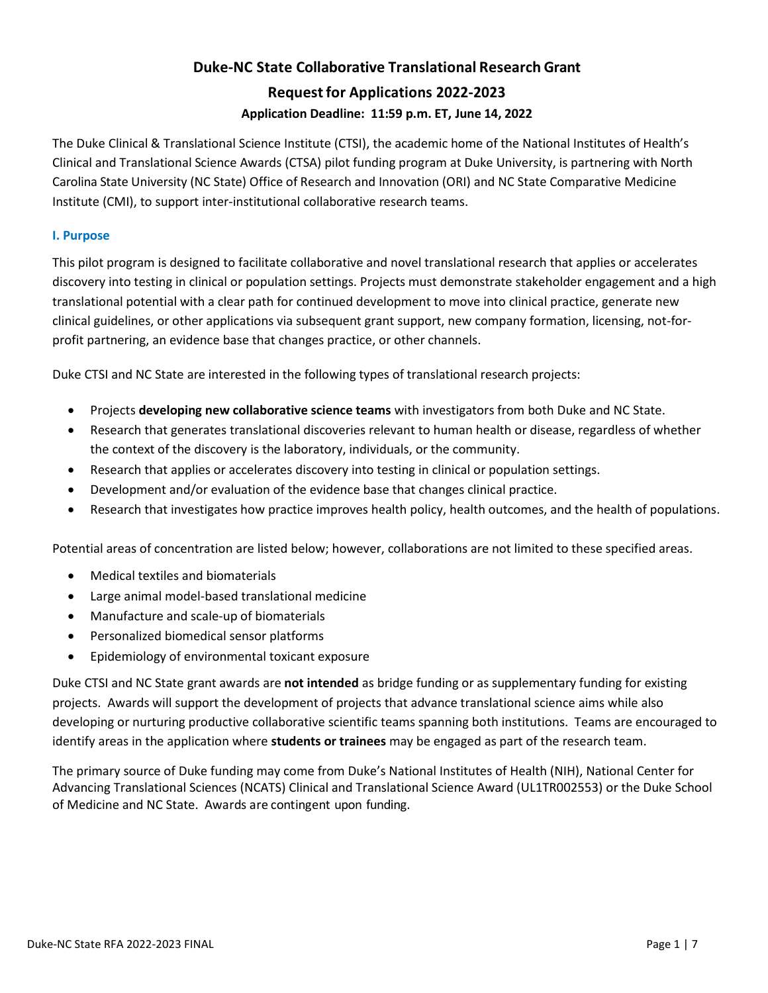# **Duke-NC State Collaborative Translational Research Grant Requestfor Applications 2022-2023 Application Deadline: 11:59 p.m. ET, June 14, 2022**

The Duke Clinical & Translational Science Institute (CTSI), the academic home of the National Institutes of Health's Clinical and Translational Science Awards (CTSA) pilot funding program at Duke University, is partnering with North Carolina State University (NC State) Office of Research and Innovation (ORI) and NC State Comparative Medicine Institute (CMI), to support inter-institutional collaborative research teams.

# **I. Purpose**

This pilot program is designed to facilitate collaborative and novel translational research that applies or accelerates discovery into testing in clinical or population settings. Projects must demonstrate stakeholder engagement and a high translational potential with a clear path for continued development to move into clinical practice, generate new clinical guidelines, or other applications via subsequent grant support, new company formation, licensing, not-forprofit partnering, an evidence base that changes practice, or other channels.

Duke CTSI and NC State are interested in the following types of translational research projects:

- Projects **developing new collaborative science teams** with investigators from both Duke and NC State.
- Research that generates translational discoveries relevant to human health or disease, regardless of whether the context of the discovery is the laboratory, individuals, or the community.
- Research that applies or accelerates discovery into testing in clinical or population settings.
- Development and/or evaluation of the evidence base that changes clinical practice.
- Research that investigates how practice improves health policy, health outcomes, and the health of populations.

Potential areas of concentration are listed below; however, collaborations are not limited to these specified areas.

- Medical textiles and biomaterials
- Large animal model-based translational medicine
- Manufacture and scale-up of biomaterials
- Personalized biomedical sensor platforms
- Epidemiology of environmental toxicant exposure

Duke CTSI and NC State grant awards are **not intended** as bridge funding or as supplementary funding for existing projects. Awards will support the development of projects that advance translational science aims while also developing or nurturing productive collaborative scientific teams spanning both institutions. Teams are encouraged to identify areas in the application where **students or trainees** may be engaged as part of the research team.

The primary source of Duke funding may come from Duke's National Institutes of Health (NIH), National Center for Advancing Translational Sciences (NCATS) Clinical and Translational Science Award (UL1TR002553) or the Duke School of Medicine and NC State. Awards are contingent upon funding.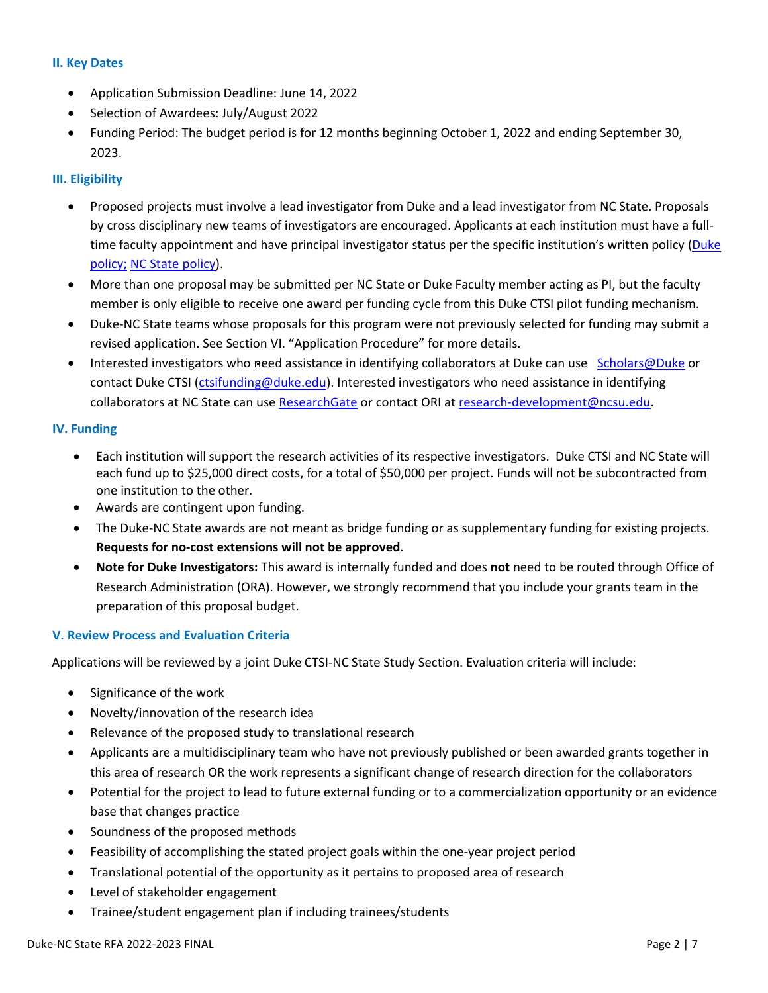#### **II. Key Dates**

- Application Submission Deadline: June 14, 2022
- Selection of Awardees: July/August 2022
- Funding Period: The budget period is for 12 months beginning October 1, 2022 and ending September 30, 2023.

## **III. Eligibility**

- Proposed projects must involve a lead investigator from Duke and a lead investigator from NC State. Proposals by cross disciplinary new teams of investigators are encouraged. Applicants at each institution must have a fulltime faculty appointment and have principal investigator status per the specific institution's written policy (Duke [policy;](https://myresearchpath.duke.edu/procedure-requesting-eligibility-serve-principal-investigator) NC State [policy\)](https://research.ncsu.edu/sparcs/policies-and-procedures/pi-eligibility/).
- More than one proposal may be submitted per NC State or Duke Faculty member acting as PI, but the faculty member is only eligible to receive one award per funding cycle from this Duke CTSI pilot funding mechanism.
- Duke-NC State teams whose proposals for this program were not previously selected for funding may submit a revised application. See Section VI. "Application Procedure" for more details.
- Interested investigators who need assistance in identifying collaborators at Duke can use [Scholars@Duke](https://scholars.duke.edu/) or contact Duke CTSI [\(ctsifunding@duke.edu\).](mailto:ctsifunding@duke.edu)) Interested investigators who need assistance in identifying collaborators at NC State can use [ResearchGate](https://www.researchgate.net/institution/North_Carolina_State_University) or contact ORI at research-development@ncsu.edu.

## **IV. Funding**

- Each institution will support the research activities of its respective investigators. Duke CTSI and NC State will each fund up to \$25,000 direct costs, for a total of \$50,000 per project. Funds will not be subcontracted from one institution to the other.
- Awards are contingent upon funding.
- The Duke-NC State awards are not meant as bridge funding or as supplementary funding for existing projects. **Requests for no-cost extensions will not be approved**.
- **Note for Duke Investigators:** This award is internally funded and does **not** need to be routed through Office of Research Administration (ORA). However, we strongly recommend that you include your grants team in the preparation of this proposal budget.

## **V. Review Process and Evaluation Criteria**

Applications will be reviewed by a joint Duke CTSI-NC State Study Section. Evaluation criteria will include:

- Significance of the work
- Novelty/innovation of the research idea
- Relevance of the proposed study to translational research
- Applicants are a multidisciplinary team who have not previously published or been awarded grants together in this area of research OR the work represents a significant change of research direction for the collaborators
- Potential for the project to lead to future external funding or to a commercialization opportunity or an evidence base that changes practice
- Soundness of the proposed methods
- Feasibility of accomplishing the stated project goals within the one-year project period
- Translational potential of the opportunity as it pertains to proposed area of research
- Level of stakeholder engagement
- Trainee/student engagement plan if including trainees/students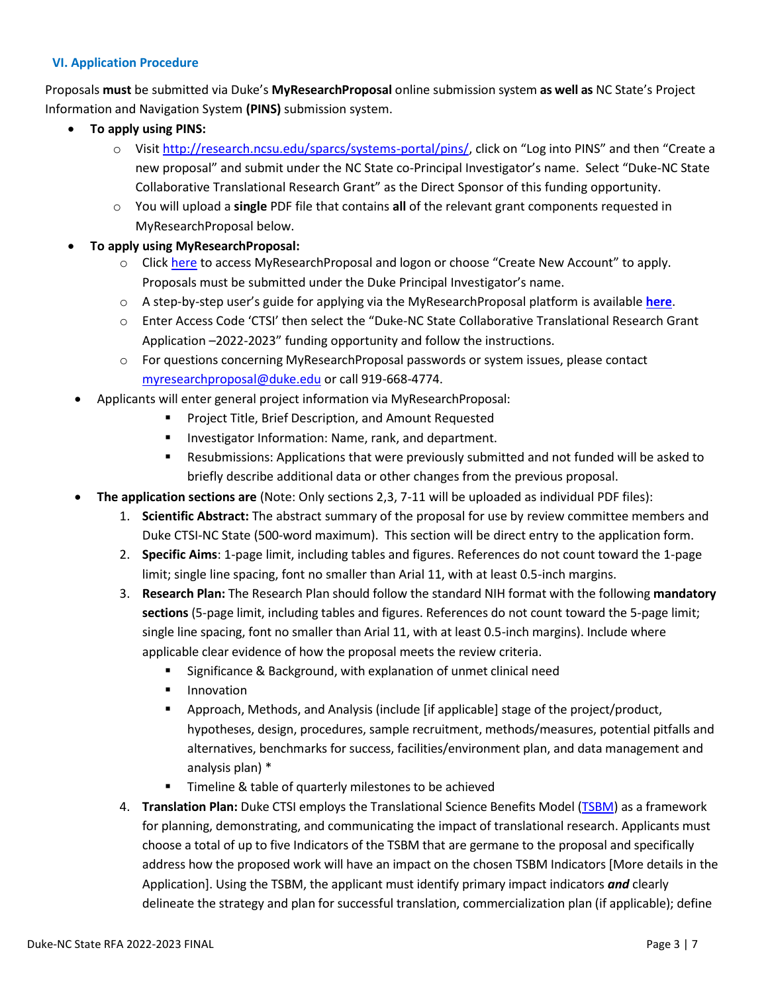## **VI. Application Procedure**

Proposals **must** be submitted via Duke's **MyResearchProposal** online submission system **as well as** NC State's Project Information and Navigation System **(PINS)** submission system.

- **To apply using PINS:**
	- o Visit [http://research.ncsu.edu/sparcs/systems-portal/pins/,](http://research.ncsu.edu/sparcs/systems-portal/pins/) click on "Log into PINS" and then "Create a new proposal" and submit under the NC State co-Principal Investigator's name. Select "Duke-NC State Collaborative Translational Research Grant" as the Direct Sponsor of this funding opportunity.
	- o You will upload a **single** PDF file that contains **all** of the relevant grant components requested in MyResearchProposal below.
- **To apply using MyResearchProposal:**
	- o Clic[k here](https://www.grantinterface.com/Home/Logon?urlkey=duke) to access MyResearchProposal and logon or choose "Create New Account" to apply. Proposals must be submitted under the Duke Principal Investigator's name.
	- o A step-by-step user's guide for applying via the MyResearchProposal platform is available **[here](https://ctsi.duke.edu/sites/default/files/2022-01/MRP_Application%20Instructions_rev%202021.02.08.pdf)**.
	- o Enter Access Code 'CTSI' then select the "Duke-NC State Collaborative Translational Research Grant Application –2022-2023" funding opportunity and follow the instructions.
	- o For questions concerning MyResearchProposal passwords or system issues, please contact [myresearchproposal@duke.edu](mailto:myresearchproposal@duke.edu) or call 919-668-4774.
	- Applicants will enter general project information via MyResearchProposal:
		- **Project Title, Brief Description, and Amount Requested**
		- **Investigator Information: Name, rank, and department.**
		- Resubmissions: Applications that were previously submitted and not funded will be asked to briefly describe additional data or other changes from the previous proposal.
- **The application sections are** (Note: Only sections 2,3, 7-11 will be uploaded as individual PDF files):
	- 1. **Scientific Abstract:** The abstract summary of the proposal for use by review committee members and Duke CTSI-NC State (500-word maximum). This section will be direct entry to the application form.
	- 2. **Specific Aims**: 1-page limit, including tables and figures. References do not count toward the 1-page limit; single line spacing, font no smaller than Arial 11, with at least 0.5-inch margins.
	- 3. **Research Plan:** The Research Plan should follow the standard NIH format with the following **mandatory sections** (5-page limit, including tables and figures. References do not count toward the 5-page limit; single line spacing, font no smaller than Arial 11, with at least 0.5-inch margins). Include where applicable clear evidence of how the proposal meets the review criteria.
		- Significance & Background, with explanation of unmet clinical need
		- **Innovation**
		- Approach, Methods, and Analysis (include [if applicable] stage of the project/product, hypotheses, design, procedures, sample recruitment, methods/measures, potential pitfalls and alternatives, benchmarks for success, facilities/environment plan, and data management and analysis plan) \*
		- **Timeline & table of quarterly milestones to be achieved**
	- 4. **Translation Plan:** Duke CTSI employs the Translational Science Benefits Model [\(TSBM\)](https://cpb-us-w2.wpmucdn.com/sites.wustl.edu/dist/4/1094/files/2018/02/Luke2018TSBM-2buxkvu.pdf) as a framework for planning, demonstrating, and communicating the impact of translational research. Applicants must choose a total of up to five Indicators of the TSBM that are germane to the proposal and specifically address how the proposed work will have an impact on the chosen TSBM Indicators [More details in the Application]. Using the TSBM, the applicant must identify primary impact indicators *and* clearly delineate the strategy and plan for successful translation, commercialization plan (if applicable); define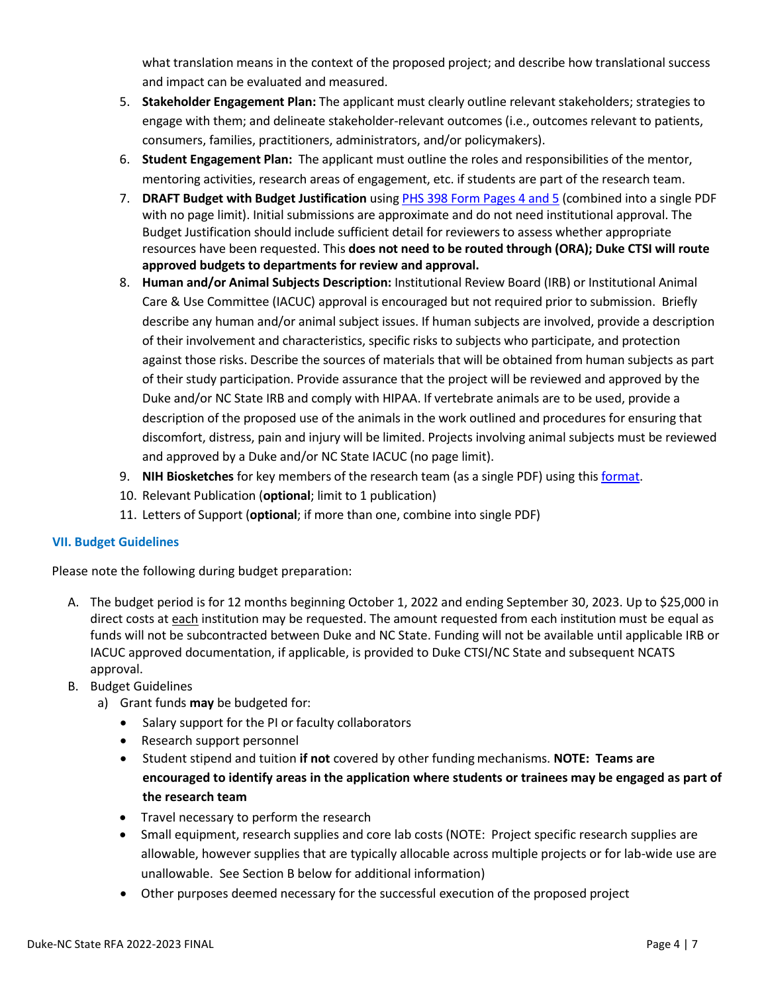what translation means in the context of the proposed project; and describe how translational success and impact can be evaluated and measured.

- 5. **Stakeholder Engagement Plan:** The applicant must clearly outline relevant stakeholders; strategies to engage with them; and delineate stakeholder-relevant outcomes (i.e., outcomes relevant to patients, consumers, families, practitioners, administrators, and/or policymakers).
- 6. **Student Engagement Plan:** The applicant must outline the roles and responsibilities of the mentor, mentoring activities, research areas of engagement, etc. if students are part of the research team.
- 7. **DRAFT Budget with Budget Justification** usin[g PHS 398 Form Pages 4 and 5](https://grants.nih.gov/grants/funding/phs398/phs398.html) (combined into a single PDF with no page limit). Initial submissions are approximate and do not need institutional approval. The Budget Justification should include sufficient detail for reviewers to assess whether appropriate resources have been requested. This **does not need to be routed through (ORA); Duke CTSI will route approved budgets to departments for review and approval.**
- 8. **Human and/or Animal Subjects Description:** Institutional Review Board (IRB) or Institutional Animal Care & Use Committee (IACUC) approval is encouraged but not required prior to submission. Briefly describe any human and/or animal subject issues. If human subjects are involved, provide a description of their involvement and characteristics, specific risks to subjects who participate, and protection against those risks. Describe the sources of materials that will be obtained from human subjects as part of their study participation. Provide assurance that the project will be reviewed and approved by the Duke and/or NC State IRB and comply with HIPAA. If vertebrate animals are to be used, provide a description of the proposed use of the animals in the work outlined and procedures for ensuring that discomfort, distress, pain and injury will be limited. Projects involving animal subjects must be reviewed and approved by a Duke and/or NC State IACUC (no page limit).
- 9. **NIH Biosketches** for key members of the research team (as a single PDF) using thi[s format.](http://grants.nih.gov/grants/forms/biosketch.htm)
- 10. Relevant Publication (**optional**; limit to 1 publication)
- 11. Letters of Support (**optional**; if more than one, combine into single PDF)

## **VII. Budget Guidelines**

Please note the following during budget preparation:

- A. The budget period is for 12 months beginning October 1, 2022 and ending September 30, 2023. Up to \$25,000 in direct costs at each institution may be requested. The amount requested from each institution must be equal as funds will not be subcontracted between Duke and NC State. Funding will not be available until applicable IRB or IACUC approved documentation, if applicable, is provided to Duke CTSI/NC State and subsequent NCATS approval.
- B. Budget Guidelines
	- a) Grant funds **may** be budgeted for:
		- Salary support for the PI or faculty collaborators
		- Research support personnel
		- Student stipend and tuition **if not** covered by other funding mechanisms. **NOTE: Teams are encouraged to identify areas in the application where students or trainees may be engaged as part of the research team**
		- Travel necessary to perform the research
		- Small equipment, research supplies and core lab costs (NOTE: Project specific research supplies are allowable, however supplies that are typically allocable across multiple projects or for lab-wide use are unallowable. See Section B below for additional information)
		- Other purposes deemed necessary for the successful execution of the proposed project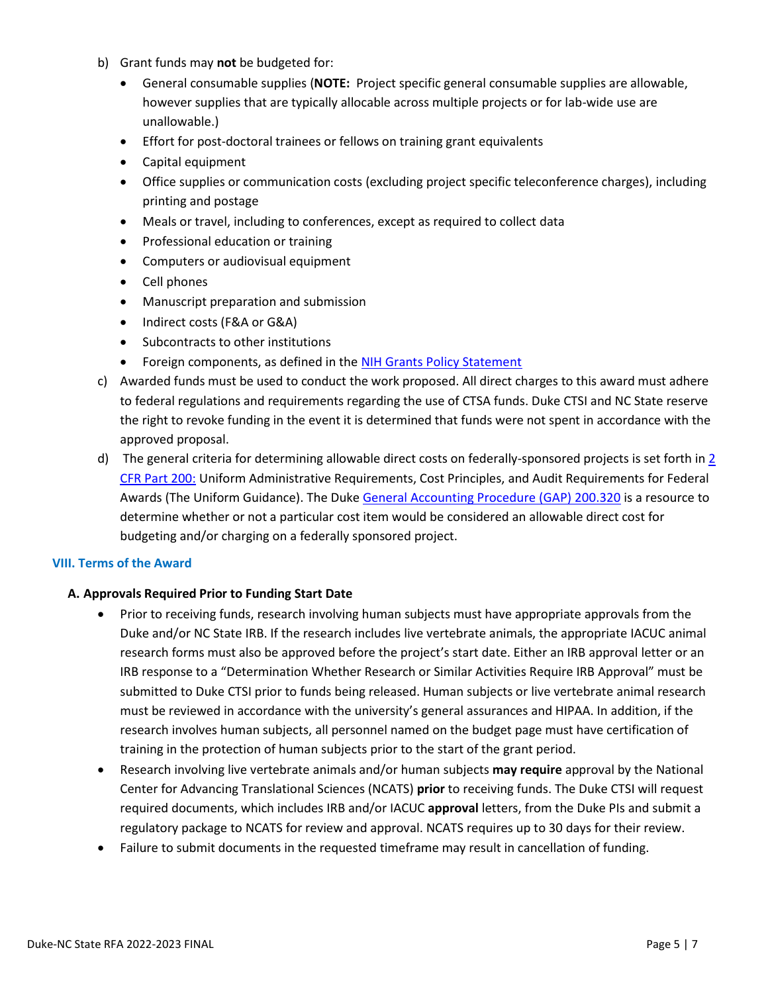- b) Grant funds may **not** be budgeted for:
	- General consumable supplies (**NOTE:** Project specific general consumable supplies are allowable, however supplies that are typically allocable across multiple projects or for lab-wide use are unallowable.)
	- Effort for post-doctoral trainees or fellows on training grant equivalents
	- Capital equipment
	- Office supplies or communication costs (excluding project specific teleconference charges), including printing and postage
	- Meals or travel, including to conferences, except as required to collect data
	- Professional education or training
	- Computers or audiovisual equipment
	- Cell phones
	- Manuscript preparation and submission
	- Indirect costs (F&A or G&A)
	- Subcontracts to other institutions
	- Foreign components, as defined in the [NIH Grants Policy Statement](https://www.google.com/url?sa=t&rct=j&q=&esrc=s&source=web&cd=2&cad=rja&uact=8&ved=0ahUKEwiyo_DotoHVAhWGSiYKHYf1BXkQjBAILjAB&url=https%3A%2F%2Fgrants.nih.gov%2Fgrants%2Fpolicy%2Fnihgps%2Fnihgps.pdf&usg=AFQjCNGQPgOkNVrQd4OtPS-uxTUsMCALhA)
- c) Awarded funds must be used to conduct the work proposed. All direct charges to this award must adhere to federal regulations and requirements regarding the use of CTSA funds. Duke CTSI and NC State reserve the right to revoke funding in the event it is determined that funds were not spent in accordance with the approved proposal.
- d) The general criteria for determining allowable direct costs on federally-sponsored projects is set forth in [2](https://www.gpo.gov/fdsys/pkg/CFR-2014-title2-vol1/pdf/CFR-2014-title2-vol1-part200.pdf)  CFR Part 200: [Uniform Administrative Requirements,](https://www.gpo.gov/fdsys/pkg/CFR-2014-title2-vol1/pdf/CFR-2014-title2-vol1-part200.pdf) Cost Principles, and Audit Requirements for Federal Awards (The Uniform Guidance). The Duke General [Accounting Procedure \(](https://finance.duke.edu/accounting/gap/m200-320.php)GAP) 200.320 is a resource to determine whether or not a particular cost item would be considered an allowable direct cost for budgeting and/or charging on a federally sponsored project.

#### **VIII. Terms of the Award**

## **A. Approvals Required Prior to Funding Start Date**

- Prior to receiving funds, research involving human subjects must have appropriate approvals from the Duke and/or NC State IRB. If the research includes live vertebrate animals, the appropriate IACUC animal research forms must also be approved before the project's start date. Either an IRB approval letter or an IRB response to a "Determination Whether Research or Similar Activities Require IRB Approval" must be submitted to Duke CTSI prior to funds being released. Human subjects or live vertebrate animal research must be reviewed in accordance with the university's general assurances and HIPAA. In addition, if the research involves human subjects, all personnel named on the budget page must have certification of training in the protection of human subjects prior to the start of the grant period.
- Research involving live vertebrate animals and/or human subjects **may require** approval by the National Center for Advancing Translational Sciences (NCATS) **prior** to receiving funds. The Duke CTSI will request required documents, which includes IRB and/or IACUC **approval** letters, from the Duke PIs and submit a regulatory package to NCATS for review and approval. NCATS requires up to 30 days for their review.
- Failure to submit documents in the requested timeframe may result in cancellation of funding.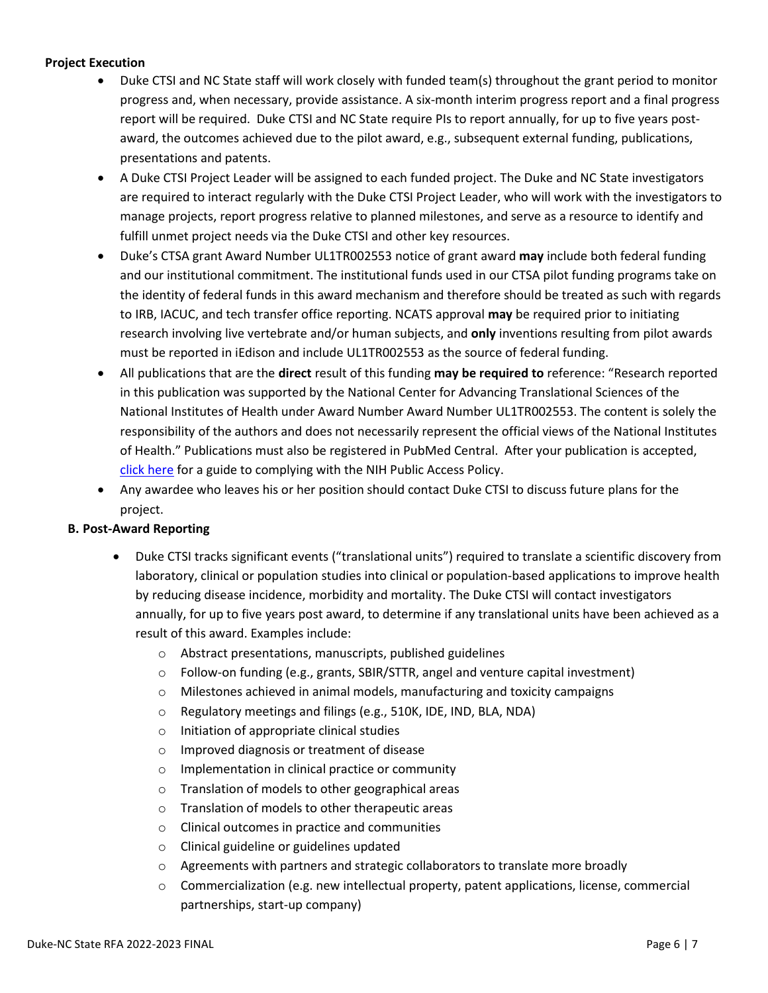## **Project Execution**

- Duke CTSI and NC State staff will work closely with funded team(s) throughout the grant period to monitor progress and, when necessary, provide assistance. A six-month interim progress report and a final progress report will be required. Duke CTSI and NC State require PIs to report annually, for up to five years postaward, the outcomes achieved due to the pilot award, e.g., subsequent external funding, publications, presentations and patents.
- A Duke CTSI Project Leader will be assigned to each funded project. The Duke and NC State investigators are required to interact regularly with the Duke CTSI Project Leader, who will work with the investigators to manage projects, report progress relative to planned milestones, and serve as a resource to identify and fulfill unmet project needs via the Duke CTSI and other key resources.
- Duke's CTSA grant Award Number UL1TR002553 notice of grant award **may** include both federal funding and our institutional commitment. The institutional funds used in our CTSA pilot funding programs take on the identity of federal funds in this award mechanism and therefore should be treated as such with regards to IRB, IACUC, and tech transfer office reporting. NCATS approval **may** be required prior to initiating research involving live vertebrate and/or human subjects, and **only** inventions resulting from pilot awards must be reported in iEdison and include UL1TR002553 as the source of federal funding.
- All publications that are the **direct** result of this funding **may be required to** reference: "Research reported in this publication was supported by the National Center for Advancing Translational Sciences of the National Institutes of Health under Award Number Award Number UL1TR002553. The content is solely the responsibility of the authors and does not necessarily represent the official views of the National Institutes of Health." Publications must also be registered in PubMed Central. After your publication is accepted, [click here](https://publicaccess.nih.gov/) for a guide to complying with the NIH Public Access Policy.
- Any awardee who leaves his or her position should contact Duke CTSI to discuss future plans for the project.

## **B. Post-Award Reporting**

- Duke CTSI tracks significant events ("translational units") required to translate a scientific discovery from laboratory, clinical or population studies into clinical or population-based applications to improve health by reducing disease incidence, morbidity and mortality. The Duke CTSI will contact investigators annually, for up to five years post award, to determine if any translational units have been achieved as a result of this award. Examples include:
	- o Abstract presentations, manuscripts, published guidelines
	- o Follow-on funding (e.g., grants, SBIR/STTR, angel and venture capital investment)
	- $\circ$  Milestones achieved in animal models, manufacturing and toxicity campaigns
	- o Regulatory meetings and filings (e.g., 510K, IDE, IND, BLA, NDA)
	- o Initiation of appropriate clinical studies
	- o Improved diagnosis or treatment of disease
	- o Implementation in clinical practice or community
	- o Translation of models to other geographical areas
	- o Translation of models to other therapeutic areas
	- o Clinical outcomes in practice and communities
	- o Clinical guideline or guidelines updated
	- $\circ$  Agreements with partners and strategic collaborators to translate more broadly
	- $\circ$  Commercialization (e.g. new intellectual property, patent applications, license, commercial partnerships, start-up company)